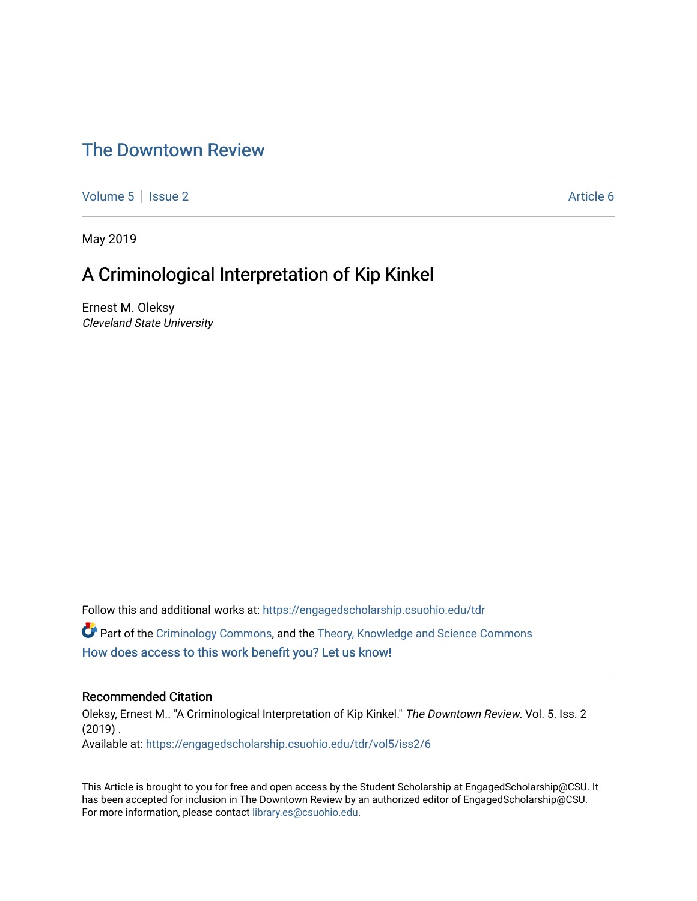## [The Downtown Review](https://engagedscholarship.csuohio.edu/tdr)

[Volume 5](https://engagedscholarship.csuohio.edu/tdr/vol5) | [Issue 2](https://engagedscholarship.csuohio.edu/tdr/vol5/iss2) Article 6

May 2019

## A Criminological Interpretation of Kip Kinkel

Ernest M. Oleksy Cleveland State University

Follow this and additional works at: [https://engagedscholarship.csuohio.edu/tdr](https://engagedscholarship.csuohio.edu/tdr?utm_source=engagedscholarship.csuohio.edu%2Ftdr%2Fvol5%2Fiss2%2F6&utm_medium=PDF&utm_campaign=PDFCoverPages)  **C** Part of the [Criminology Commons](http://network.bepress.com/hgg/discipline/417?utm_source=engagedscholarship.csuohio.edu%2Ftdr%2Fvol5%2Fiss2%2F6&utm_medium=PDF&utm_campaign=PDFCoverPages), and the Theory, Knowledge and Science Commons [How does access to this work benefit you? Let us know!](http://library.csuohio.edu/engaged/)

## Recommended Citation

Oleksy, Ernest M.. "A Criminological Interpretation of Kip Kinkel." The Downtown Review. Vol. 5. Iss. 2  $(2019)$ . Available at: [https://engagedscholarship.csuohio.edu/tdr/vol5/iss2/6](https://engagedscholarship.csuohio.edu/tdr/vol5/iss2/6?utm_source=engagedscholarship.csuohio.edu%2Ftdr%2Fvol5%2Fiss2%2F6&utm_medium=PDF&utm_campaign=PDFCoverPages) 

This Article is brought to you for free and open access by the Student Scholarship at EngagedScholarship@CSU. It has been accepted for inclusion in The Downtown Review by an authorized editor of EngagedScholarship@CSU. For more information, please contact [library.es@csuohio.edu.](mailto:library.es@csuohio.edu)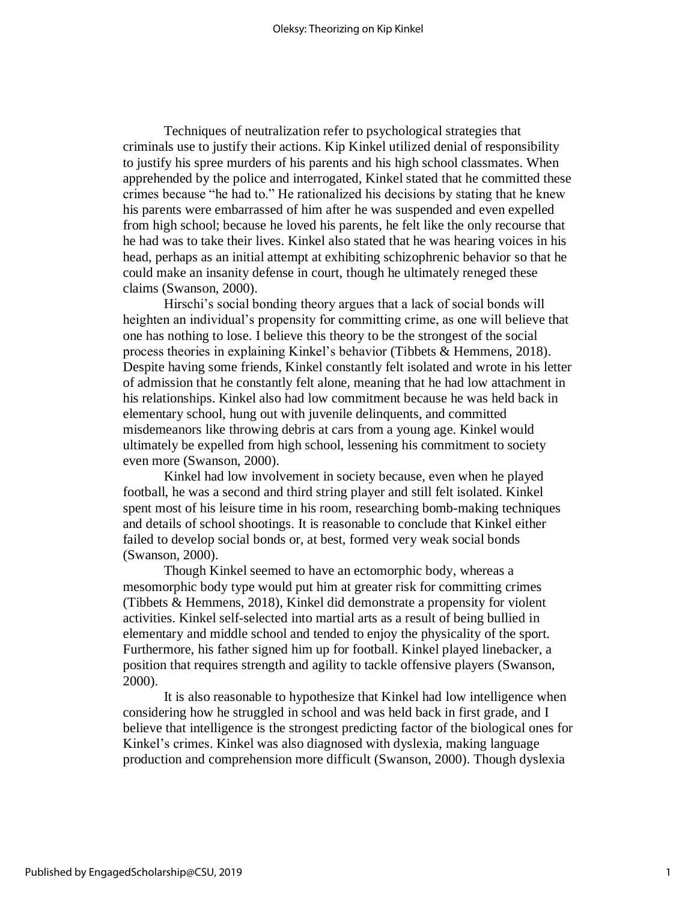Techniques of neutralization refer to psychological strategies that criminals use to justify their actions. Kip Kinkel utilized denial of responsibility to justify his spree murders of his parents and his high school classmates. When apprehended by the police and interrogated, Kinkel stated that he committed these crimes because "he had to." He rationalized his decisions by stating that he knew his parents were embarrassed of him after he was suspended and even expelled from high school; because he loved his parents, he felt like the only recourse that he had was to take their lives. Kinkel also stated that he was hearing voices in his head, perhaps as an initial attempt at exhibiting schizophrenic behavior so that he could make an insanity defense in court, though he ultimately reneged these claims (Swanson, 2000).

Hirschi's social bonding theory argues that a lack of social bonds will heighten an individual's propensity for committing crime, as one will believe that one has nothing to lose. I believe this theory to be the strongest of the social process theories in explaining Kinkel's behavior (Tibbets & Hemmens, 2018). Despite having some friends, Kinkel constantly felt isolated and wrote in his letter of admission that he constantly felt alone, meaning that he had low attachment in his relationships. Kinkel also had low commitment because he was held back in elementary school, hung out with juvenile delinquents, and committed misdemeanors like throwing debris at cars from a young age. Kinkel would ultimately be expelled from high school, lessening his commitment to society even more (Swanson, 2000).

Kinkel had low involvement in society because, even when he played football, he was a second and third string player and still felt isolated. Kinkel spent most of his leisure time in his room, researching bomb-making techniques and details of school shootings. It is reasonable to conclude that Kinkel either failed to develop social bonds or, at best, formed very weak social bonds (Swanson, 2000).

Though Kinkel seemed to have an ectomorphic body, whereas a mesomorphic body type would put him at greater risk for committing crimes (Tibbets & Hemmens, 2018), Kinkel did demonstrate a propensity for violent activities. Kinkel self-selected into martial arts as a result of being bullied in elementary and middle school and tended to enjoy the physicality of the sport. Furthermore, his father signed him up for football. Kinkel played linebacker, a position that requires strength and agility to tackle offensive players (Swanson, 2000).

It is also reasonable to hypothesize that Kinkel had low intelligence when considering how he struggled in school and was held back in first grade, and I believe that intelligence is the strongest predicting factor of the biological ones for Kinkel's crimes. Kinkel was also diagnosed with dyslexia, making language production and comprehension more difficult (Swanson, 2000). Though dyslexia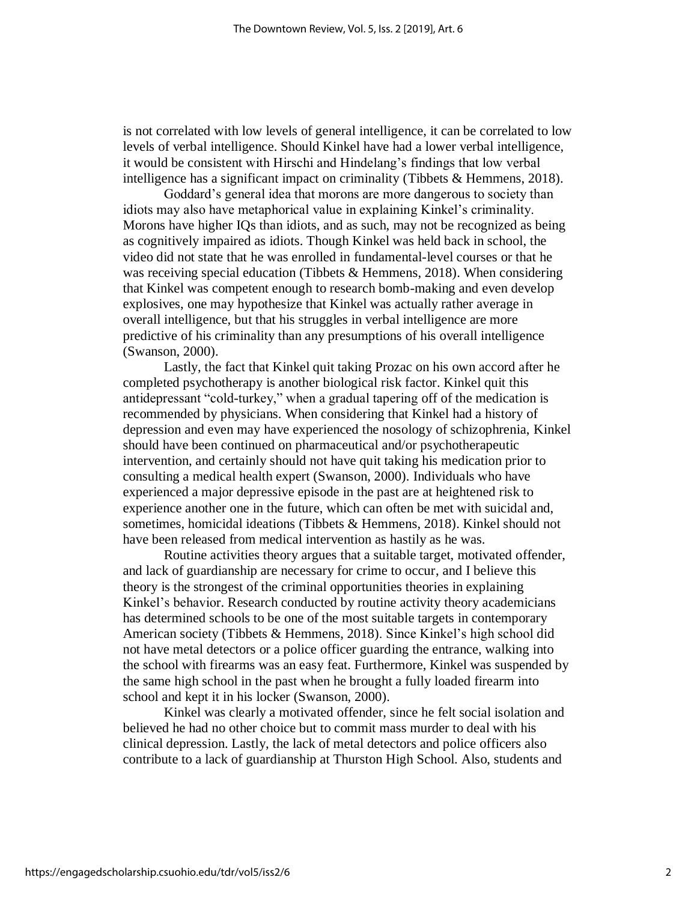is not correlated with low levels of general intelligence, it can be correlated to low levels of verbal intelligence. Should Kinkel have had a lower verbal intelligence, it would be consistent with Hirschi and Hindelang's findings that low verbal intelligence has a significant impact on criminality (Tibbets & Hemmens, 2018).

Goddard's general idea that morons are more dangerous to society than idiots may also have metaphorical value in explaining Kinkel's criminality. Morons have higher IQs than idiots, and as such, may not be recognized as being as cognitively impaired as idiots. Though Kinkel was held back in school, the video did not state that he was enrolled in fundamental-level courses or that he was receiving special education (Tibbets  $\&$  Hemmens, 2018). When considering that Kinkel was competent enough to research bomb-making and even develop explosives, one may hypothesize that Kinkel was actually rather average in overall intelligence, but that his struggles in verbal intelligence are more predictive of his criminality than any presumptions of his overall intelligence (Swanson, 2000).

Lastly, the fact that Kinkel quit taking Prozac on his own accord after he completed psychotherapy is another biological risk factor. Kinkel quit this antidepressant "cold-turkey," when a gradual tapering off of the medication is recommended by physicians. When considering that Kinkel had a history of depression and even may have experienced the nosology of schizophrenia, Kinkel should have been continued on pharmaceutical and/or psychotherapeutic intervention, and certainly should not have quit taking his medication prior to consulting a medical health expert (Swanson, 2000). Individuals who have experienced a major depressive episode in the past are at heightened risk to experience another one in the future, which can often be met with suicidal and, sometimes, homicidal ideations (Tibbets & Hemmens, 2018). Kinkel should not have been released from medical intervention as hastily as he was.

Routine activities theory argues that a suitable target, motivated offender, and lack of guardianship are necessary for crime to occur, and I believe this theory is the strongest of the criminal opportunities theories in explaining Kinkel's behavior. Research conducted by routine activity theory academicians has determined schools to be one of the most suitable targets in contemporary American society (Tibbets & Hemmens, 2018). Since Kinkel's high school did not have metal detectors or a police officer guarding the entrance, walking into the school with firearms was an easy feat. Furthermore, Kinkel was suspended by the same high school in the past when he brought a fully loaded firearm into school and kept it in his locker (Swanson, 2000).

Kinkel was clearly a motivated offender, since he felt social isolation and believed he had no other choice but to commit mass murder to deal with his clinical depression. Lastly, the lack of metal detectors and police officers also contribute to a lack of guardianship at Thurston High School. Also, students and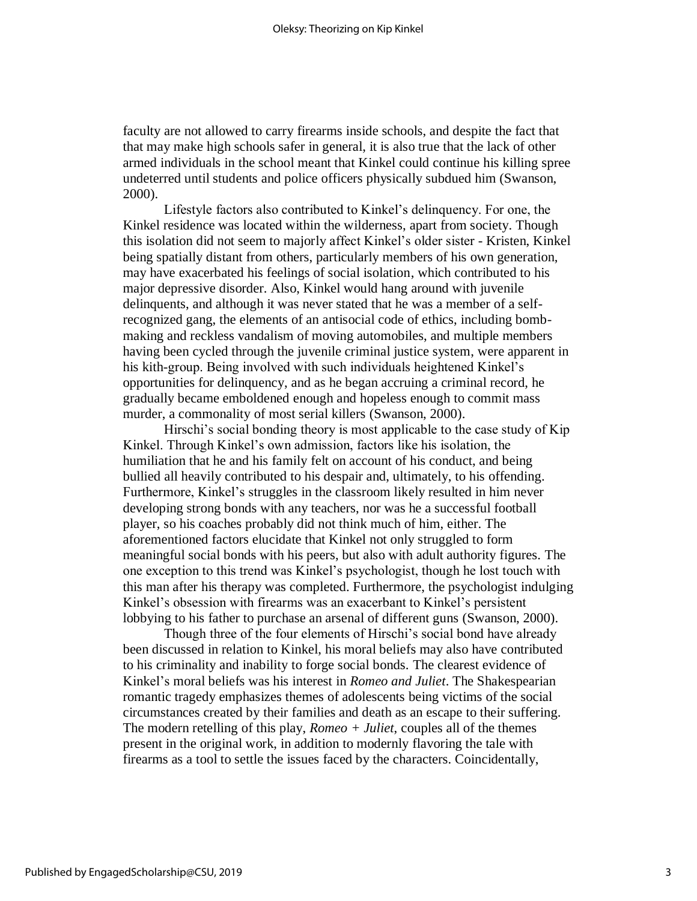faculty are not allowed to carry firearms inside schools, and despite the fact that that may make high schools safer in general, it is also true that the lack of other armed individuals in the school meant that Kinkel could continue his killing spree undeterred until students and police officers physically subdued him (Swanson, 2000).

Lifestyle factors also contributed to Kinkel's delinquency. For one, the Kinkel residence was located within the wilderness, apart from society. Though this isolation did not seem to majorly affect Kinkel's older sister - Kristen, Kinkel being spatially distant from others, particularly members of his own generation, may have exacerbated his feelings of social isolation, which contributed to his major depressive disorder. Also, Kinkel would hang around with juvenile delinquents, and although it was never stated that he was a member of a selfrecognized gang, the elements of an antisocial code of ethics, including bombmaking and reckless vandalism of moving automobiles, and multiple members having been cycled through the juvenile criminal justice system, were apparent in his kith-group. Being involved with such individuals heightened Kinkel's opportunities for delinquency, and as he began accruing a criminal record, he gradually became emboldened enough and hopeless enough to commit mass murder, a commonality of most serial killers (Swanson, 2000).

Hirschi's social bonding theory is most applicable to the case study of Kip Kinkel. Through Kinkel's own admission, factors like his isolation, the humiliation that he and his family felt on account of his conduct, and being bullied all heavily contributed to his despair and, ultimately, to his offending. Furthermore, Kinkel's struggles in the classroom likely resulted in him never developing strong bonds with any teachers, nor was he a successful football player, so his coaches probably did not think much of him, either. The aforementioned factors elucidate that Kinkel not only struggled to form meaningful social bonds with his peers, but also with adult authority figures. The one exception to this trend was Kinkel's psychologist, though he lost touch with this man after his therapy was completed. Furthermore, the psychologist indulging Kinkel's obsession with firearms was an exacerbant to Kinkel's persistent lobbying to his father to purchase an arsenal of different guns (Swanson, 2000).

Though three of the four elements of Hirschi's social bond have already been discussed in relation to Kinkel, his moral beliefs may also have contributed to his criminality and inability to forge social bonds. The clearest evidence of Kinkel's moral beliefs was his interest in *Romeo and Juliet*. The Shakespearian romantic tragedy emphasizes themes of adolescents being victims of the social circumstances created by their families and death as an escape to their suffering. The modern retelling of this play, *Romeo + Juliet*, couples all of the themes present in the original work, in addition to modernly flavoring the tale with firearms as a tool to settle the issues faced by the characters. Coincidentally,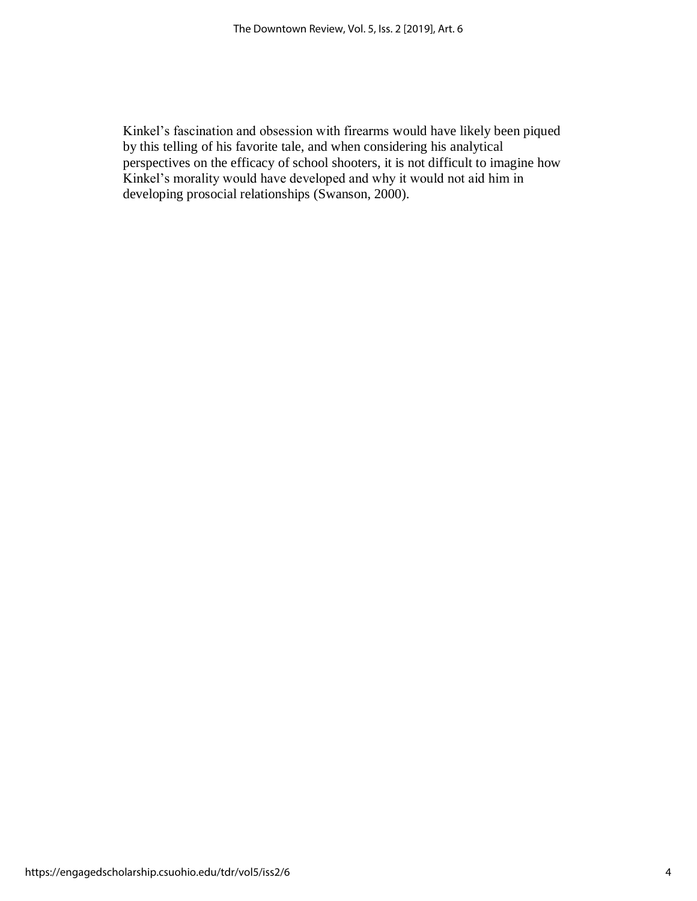Kinkel's fascination and obsession with firearms would have likely been piqued by this telling of his favorite tale, and when considering his analytical perspectives on the efficacy of school shooters, it is not difficult to imagine how Kinkel's morality would have developed and why it would not aid him in developing prosocial relationships (Swanson, 2000).